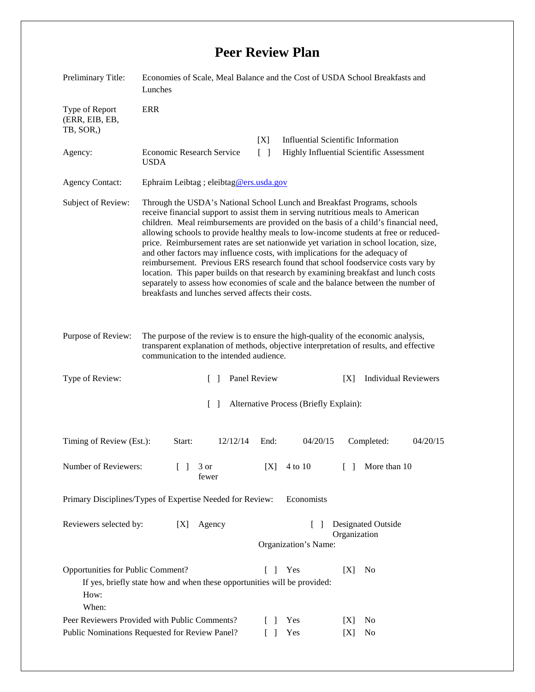## **Peer Review Plan**

| Preliminary Title:                                                                              | Economies of Scale, Meal Balance and the Cost of USDA School Breakfasts and<br>Lunches                                                                                                                                                                                                                                                                                                                                                                                                                                                                                                                                                                                                                                                                                                                                                      |                                                                                |                                                  |            |            |                             |
|-------------------------------------------------------------------------------------------------|---------------------------------------------------------------------------------------------------------------------------------------------------------------------------------------------------------------------------------------------------------------------------------------------------------------------------------------------------------------------------------------------------------------------------------------------------------------------------------------------------------------------------------------------------------------------------------------------------------------------------------------------------------------------------------------------------------------------------------------------------------------------------------------------------------------------------------------------|--------------------------------------------------------------------------------|--------------------------------------------------|------------|------------|-----------------------------|
| Type of Report<br>(ERR, EIB, EB,<br>TB, SOR,)                                                   | ERR                                                                                                                                                                                                                                                                                                                                                                                                                                                                                                                                                                                                                                                                                                                                                                                                                                         |                                                                                |                                                  |            |            |                             |
|                                                                                                 |                                                                                                                                                                                                                                                                                                                                                                                                                                                                                                                                                                                                                                                                                                                                                                                                                                             |                                                                                | <b>Influential Scientific Information</b><br>[X] |            |            |                             |
| Agency:                                                                                         | <b>Economic Research Service</b><br><b>USDA</b>                                                                                                                                                                                                                                                                                                                                                                                                                                                                                                                                                                                                                                                                                                                                                                                             | $\lceil \rceil$<br>Highly Influential Scientific Assessment                    |                                                  |            |            |                             |
| <b>Agency Contact:</b>                                                                          | Ephraim Leibtag ; eleibtag@ers.usda.gov                                                                                                                                                                                                                                                                                                                                                                                                                                                                                                                                                                                                                                                                                                                                                                                                     |                                                                                |                                                  |            |            |                             |
| Subject of Review:                                                                              | Through the USDA's National School Lunch and Breakfast Programs, schools<br>receive financial support to assist them in serving nutritious meals to American<br>children. Meal reimbursements are provided on the basis of a child's financial need,<br>allowing schools to provide healthy meals to low-income students at free or reduced-<br>price. Reimbursement rates are set nationwide yet variation in school location, size,<br>and other factors may influence costs, with implications for the adequacy of<br>reimbursement. Previous ERS research found that school foodservice costs vary by<br>location. This paper builds on that research by examining breakfast and lunch costs<br>separately to assess how economies of scale and the balance between the number of<br>breakfasts and lunches served affects their costs. |                                                                                |                                                  |            |            |                             |
| Purpose of Review:                                                                              | The purpose of the review is to ensure the high-quality of the economic analysis,<br>transparent explanation of methods, objective interpretation of results, and effective<br>communication to the intended audience.                                                                                                                                                                                                                                                                                                                                                                                                                                                                                                                                                                                                                      |                                                                                |                                                  |            |            |                             |
| Type of Review:                                                                                 |                                                                                                                                                                                                                                                                                                                                                                                                                                                                                                                                                                                                                                                                                                                                                                                                                                             | Panel Review<br>$\Box$                                                         |                                                  |            | [X]        | <b>Individual Reviewers</b> |
| $\lceil \rceil$<br>Alternative Process (Briefly Explain):                                       |                                                                                                                                                                                                                                                                                                                                                                                                                                                                                                                                                                                                                                                                                                                                                                                                                                             |                                                                                |                                                  |            |            |                             |
| Timing of Review (Est.):                                                                        | Start:                                                                                                                                                                                                                                                                                                                                                                                                                                                                                                                                                                                                                                                                                                                                                                                                                                      | 12/12/14                                                                       | End:                                             | 04/20/15   |            | Completed:<br>04/20/15      |
| Number of Reviewers:                                                                            | $\mathbb{R}$                                                                                                                                                                                                                                                                                                                                                                                                                                                                                                                                                                                                                                                                                                                                                                                                                                | 3 or<br>fewer                                                                  | [X]                                              | 4 to 10    | $\Box$     | More than 10                |
| Primary Disciplines/Types of Expertise Needed for Review:                                       |                                                                                                                                                                                                                                                                                                                                                                                                                                                                                                                                                                                                                                                                                                                                                                                                                                             |                                                                                |                                                  | Economists |            |                             |
| Reviewers selected by:                                                                          | [X]                                                                                                                                                                                                                                                                                                                                                                                                                                                                                                                                                                                                                                                                                                                                                                                                                                         | Designated Outside<br>Agency<br>$\Box$<br>Organization<br>Organization's Name: |                                                  |            |            |                             |
| Opportunities for Public Comment?<br>How:<br>When:                                              | If yes, briefly state how and when these opportunities will be provided:                                                                                                                                                                                                                                                                                                                                                                                                                                                                                                                                                                                                                                                                                                                                                                    |                                                                                | $\Box$                                           | Yes        | [X]        | N <sub>0</sub>              |
| Peer Reviewers Provided with Public Comments?<br>Public Nominations Requested for Review Panel? |                                                                                                                                                                                                                                                                                                                                                                                                                                                                                                                                                                                                                                                                                                                                                                                                                                             |                                                                                | $\mathsf{L}$                                     | Yes<br>Yes | [X]<br>[X] | No<br>No                    |